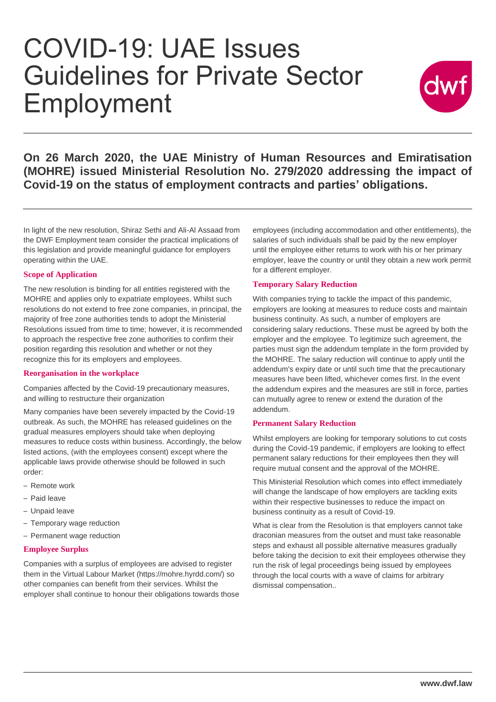# COVID-19: UAE Issues Guidelines for Private Sector Employment



**On 26 March 2020, the UAE Ministry of Human Resources and Emiratisation (MOHRE) issued Ministerial Resolution No. 279/2020 addressing the impact of Covid-19 on the status of employment contracts and parties' obligations.** 

In light of the new resolution, Shiraz Sethi and Ali-Al Assaad from the DWF Employment team consider the practical implications of this legislation and provide meaningful guidance for employers operating within the UAE.

### **Scope of Application**

The new resolution is binding for all entities registered with the MOHRE and applies only to expatriate employees. Whilst such resolutions do not extend to free zone companies, in principal, the majority of free zone authorities tends to adopt the Ministerial Resolutions issued from time to time; however, it is recommended to approach the respective free zone authorities to confirm their position regarding this resolution and whether or not they recognize this for its employers and employees.

### **Reorganisation in the workplace**

Companies affected by the Covid-19 precautionary measures, and willing to restructure their organization

Many companies have been severely impacted by the Covid-19 outbreak. As such, the MOHRE has released guidelines on the gradual measures employers should take when deploying measures to reduce costs within business. Accordingly, the below listed actions, (with the employees consent) except where the applicable laws provide otherwise should be followed in such order:

- Remote work
- Paid leave
- Unpaid leave
- Temporary wage reduction
- Permanent wage reduction

#### **Employee Surplus**

Companies with a surplus of employees are advised to register them in the Virtual Labour Market (https://mohre.hyrdd.com/) so other companies can benefit from their services. Whilst the employer shall continue to honour their obligations towards those employees (including accommodation and other entitlements), the salaries of such individuals shall be paid by the new employer until the employee either returns to work with his or her primary employer, leave the country or until they obtain a new work permit for a different employer.

#### **Temporary Salary Reduction**

With companies trying to tackle the impact of this pandemic, employers are looking at measures to reduce costs and maintain business continuity. As such, a number of employers are considering salary reductions. These must be agreed by both the employer and the employee. To legitimize such agreement, the parties must sign the addendum template in the form provided by the MOHRE. The salary reduction will continue to apply until the addendum's expiry date or until such time that the precautionary measures have been lifted, whichever comes first. In the event the addendum expires and the measures are still in force, parties can mutually agree to renew or extend the duration of the addendum.

#### **Permanent Salary Reduction**

Whilst employers are looking for temporary solutions to cut costs during the Covid-19 pandemic, if employers are looking to effect permanent salary reductions for their employees then they will require mutual consent and the approval of the MOHRE.

This Ministerial Resolution which comes into effect immediately will change the landscape of how employers are tackling exits within their respective businesses to reduce the impact on business continuity as a result of Covid-19.

What is clear from the Resolution is that employers cannot take draconian measures from the outset and must take reasonable steps and exhaust all possible alternative measures gradually before taking the decision to exit their employees otherwise they run the risk of legal proceedings being issued by employees through the local courts with a wave of claims for arbitrary dismissal compensation..